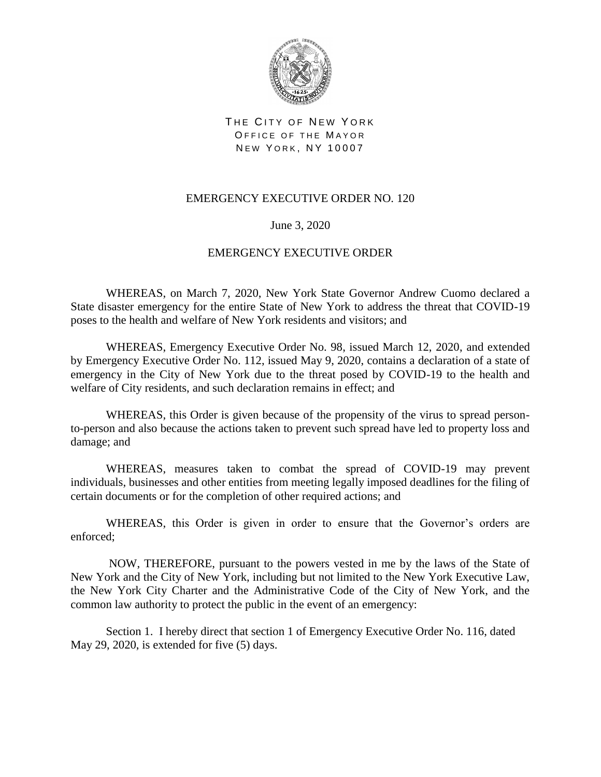

THE CITY OF NEW YORK OFFICE OF THE MAYOR NEW YORK, NY 10007

## EMERGENCY EXECUTIVE ORDER NO. 120

## June 3, 2020

## EMERGENCY EXECUTIVE ORDER

WHEREAS, on March 7, 2020, New York State Governor Andrew Cuomo declared a State disaster emergency for the entire State of New York to address the threat that COVID-19 poses to the health and welfare of New York residents and visitors; and

WHEREAS, Emergency Executive Order No. 98, issued March 12, 2020, and extended by Emergency Executive Order No. 112, issued May 9, 2020, contains a declaration of a state of emergency in the City of New York due to the threat posed by COVID-19 to the health and welfare of City residents, and such declaration remains in effect; and

WHEREAS, this Order is given because of the propensity of the virus to spread personto-person and also because the actions taken to prevent such spread have led to property loss and damage; and

WHEREAS, measures taken to combat the spread of COVID-19 may prevent individuals, businesses and other entities from meeting legally imposed deadlines for the filing of certain documents or for the completion of other required actions; and

WHEREAS, this Order is given in order to ensure that the Governor's orders are enforced;

NOW, THEREFORE, pursuant to the powers vested in me by the laws of the State of New York and the City of New York, including but not limited to the New York Executive Law, the New York City Charter and the Administrative Code of the City of New York, and the common law authority to protect the public in the event of an emergency:

Section 1. I hereby direct that section 1 of Emergency Executive Order No. 116, dated May 29, 2020, is extended for five (5) days.